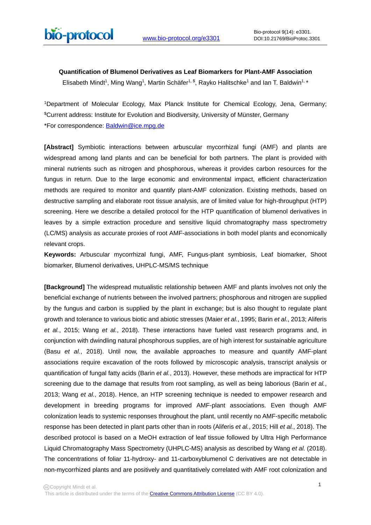# **Quantification of Blumenol Derivatives as Leaf Biomarkers for Plant-AMF Association**

Elisabeth Mindt<sup>1</sup>, Ming Wang<sup>1</sup>, Martin Schäfer<sup>1, \$</sup>, Rayko Halitschke<sup>1</sup> and Ian T. Baldwin<sup>1, \*</sup>

1Department of Molecular Ecology, Max Planck Institute for Chemical Ecology, Jena, Germany; \$Current address: Institute for Evolution and Biodiversity, University of Münster, Germany \*For correspondence: [Baldwin@ice.mpg.de](mailto:Baldwin@ice.mpg.de)

**[Abstract]** Symbiotic interactions between arbuscular mycorrhizal fungi (AMF) and plants are widespread among land plants and can be beneficial for both partners. The plant is provided with mineral nutrients such as nitrogen and phosphorous, whereas it provides carbon resources for the fungus in return. Due to the large economic and environmental impact, efficient characterization methods are required to monitor and quantify plant-AMF colonization. Existing methods, based on destructive sampling and elaborate root tissue analysis, are of limited value for high-throughput (HTP) screening. Here we describe a detailed protocol for the HTP quantification of blumenol derivatives in leaves by a simple extraction procedure and sensitive liquid chromatography mass spectrometry (LC/MS) analysis as accurate proxies of root AMF-associations in both model plants and economically relevant crops.

**Keywords:** Arbuscular mycorrhizal fungi, AMF, Fungus-plant symbiosis, Leaf biomarker, Shoot biomarker, Blumenol derivatives, UHPLC-MS/MS technique

**[Background]** The widespread mutualistic relationship between AMF and plants involves not only the beneficial exchange of nutrients between the involved partners; phosphorous and nitrogen are supplied by the fungus and carbon is supplied by the plant in exchange; but is also thought to regulate plant growth and tolerance to various biotic and abiotic stresses (Maier *et al.*, 1995; Barin *et al.*, 2013; Aliferis *et al.*, 2015; Wang *et al.*, 2018). These interactions have fueled vast research programs and, in conjunction with dwindling natural phosphorous supplies, are of high interest for sustainable agriculture (Basu *et al.*, 2018). Until now, the available approaches to measure and quantify AMF-plant associations require excavation of the roots followed by microscopic analysis, transcript analysis or quantification of fungal fatty acids (Barin *et al.*, 2013). However, these methods are impractical for HTP screening due to the damage that results from root sampling, as well as being laborious (Barin *et al.*, 2013; Wang *et al.*, 2018). Hence, an HTP screening technique is needed to empower research and development in breeding programs for improved AMF-plant associations. Even though AMF colonization leads to systemic responses throughout the plant, until recently no AMF-specific metabolic response has been detected in plant parts other than in roots (Aliferis *et al.*, 2015; Hill *et al.*, 2018). The described protocol is based on a MeOH extraction of leaf tissue followed by Ultra High Performance Liquid Chromatography Mass Spectrometry (UHPLC-MS) analysis as described by Wang *et al.* (2018). The concentrations of foliar 11-hydroxy- and 11-carboxyblumenol C derivatives are not detectable in non-mycorrhized plants and are positively and quantitatively correlated with AMF root colonization and

This article is distributed under the terms of the **Creative Commons Attribution License** (CC BY 4.0).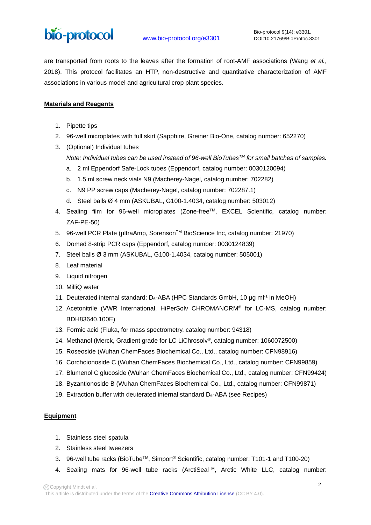are transported from roots to the leaves after the formation of root-AMF associations (Wang *et al.*, 2018). This protocol facilitates an HTP, non-destructive and quantitative characterization of AMF associations in various model and agricultural crop plant species.

# **Materials and Reagents**

- 1. Pipette tips
- 2. 96-well microplates with full skirt (Sapphire, Greiner Bio-One, catalog number: 652270)
- 3. (Optional) Individual tubes

*Note: Individual tubes can be used instead of 96-well BioTubesTM for small batches of samples.*

- a. 2 ml Eppendorf Safe-Lock tubes (Eppendorf, catalog number: 0030120094)
- b. 1.5 ml screw neck vials N9 (Macherey-Nagel, catalog number: 702282)
- c. N9 PP screw caps (Macherey-Nagel, catalog number: 702287.1)
- d. Steel balls Ø 4 mm (ASKUBAL, G100-1.4034, catalog number: 503012)
- 4. Sealing film for 96-well microplates (Zone-freeTM, EXCEL Scientific, catalog number: ZAF-PE-50)
- 5. 96-well PCR Plate (µltraAmp, SorensonTM BioScience Inc, catalog number: 21970)
- 6. Domed 8-strip PCR caps (Eppendorf, catalog number: 0030124839)
- 7. Steel balls Ø 3 mm (ASKUBAL, G100-1.4034, catalog number: 505001)
- 8. Leaf material
- 9. Liquid nitrogen
- 10. MilliQ water
- 11. Deuterated internal standard:  $D_6$ -ABA (HPC Standards GmbH, 10 ug m $I^1$  in MeOH)
- 12. Acetonitrile (VWR International, HiPerSolv CHROMANORM® for LC-MS, catalog number: BDH83640.100E)
- 13. Formic acid (Fluka, for mass spectrometry, catalog number: 94318)
- 14. Methanol (Merck, Gradient grade for LC LiChrosolv®, catalog number: 1060072500)
- 15. Roseoside (Wuhan ChemFaces Biochemical Co., Ltd., catalog number: CFN98916)
- 16. Corchoionoside C (Wuhan ChemFaces Biochemical Co., Ltd., catalog number: CFN99859)
- 17. Blumenol C glucoside (Wuhan ChemFaces Biochemical Co., Ltd., catalog number: CFN99424)
- 18. Byzantionoside B (Wuhan ChemFaces Biochemical Co., Ltd., catalog number: CFN99871)
- 19. Extraction buffer with deuterated internal standard  $D_6$ -ABA (see Recipes)

## **Equipment**

- 1. Stainless steel spatula
- 2. Stainless steel tweezers
- 3. 96-well tube racks (BioTubeTM, Simport® Scientific, catalog number: T101-1 and T100-20)
- 4. Sealing mats for 96-well tube racks (ArctiSealTM, Arctic White LLC, catalog number: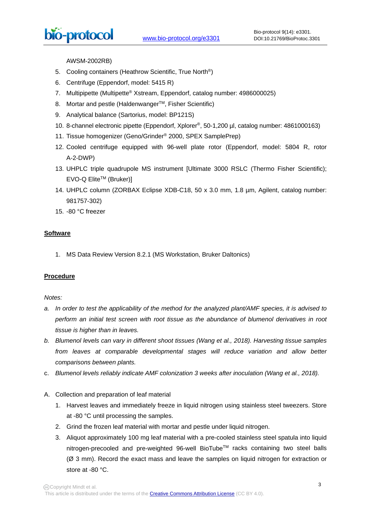AWSM-2002RB)

- 5. Cooling containers (Heathrow Scientific, True North®)
- 6. Centrifuge (Eppendorf, model: 5415 R)

 $\overline{a}$ 

- 7. Multipipette (Multipette® Xstream, Eppendorf, catalog number: 4986000025)
- 8. Mortar and pestle (Haldenwanger™, Fisher Scientific)
- 9. Analytical balance (Sartorius, model: BP121S)
- 10. 8-channel electronic pipette (Eppendorf, Xplorer®, 50-1,200 µl, catalog number: 4861000163)
- 11. Tissue homogenizer (Geno/Grinder® 2000, SPEX SamplePrep)
- 12. Cooled centrifuge equipped with 96-well plate rotor (Eppendorf, model: 5804 R, rotor A-2-DWP)
- 13. UHPLC triple quadrupole MS instrument [Ultimate 3000 RSLC (Thermo Fisher Scientific);  $EVO-Q$  Elite<sup>TM</sup> (Bruker)]
- 14. UHPLC column (ZORBAX Eclipse XDB-C18, 50 x 3.0 mm, 1.8 µm, Agilent, catalog number: 981757-302)
- 15. -80 °C freezer

# **Software**

1. MS Data Review Version 8.2.1 (MS Workstation, Bruker Daltonics)

## **Procedure**

## *Notes:*

- *a. In order to test the applicability of the method for the analyzed plant/AMF species, it is advised to perform an initial test screen with root tissue as the abundance of blumenol derivatives in root tissue is higher than in leaves.*
- *b. Blumenol levels can vary in different shoot tissues (Wang et al., 2018). Harvesting tissue samples from leaves at comparable developmental stages will reduce variation and allow better comparisons between plants.*
- c. *Blumenol levels reliably indicate AMF colonization 3 weeks after inoculation (Wang et al., 2018).*
- A. Collection and preparation of leaf material
	- 1. Harvest leaves and immediately freeze in liquid nitrogen using stainless steel tweezers. Store at -80 °C until processing the samples.
	- 2. Grind the frozen leaf material with mortar and pestle under liquid nitrogen.
	- 3. Aliquot approximately 100 mg leaf material with a pre-cooled stainless steel spatula into liquid nitrogen-precooled and pre-weighted 96-well BioTube™ racks containing two steel balls (Ø 3 mm). Record the exact mass and leave the samples on liquid nitrogen for extraction or store at -80 °C.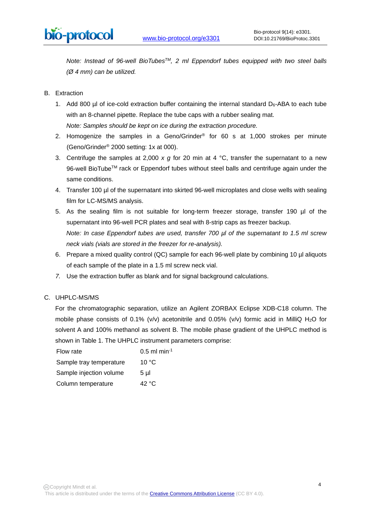*Note: Instead of 96-well BioTubesTM, 2 ml Eppendorf tubes equipped with two steel balls (Ø 4 mm) can be utilized.*

- B. Extraction
	- 1. Add 800 µl of ice-cold extraction buffer containing the internal standard  $D_6$ -ABA to each tube with an 8-channel pipette. Replace the tube caps with a rubber sealing mat. *Note: Samples should be kept on ice during the extraction procedure.*
	- 2. Homogenize the samples in a Geno/Grinder<sup>®</sup> for 60 s at 1,000 strokes per minute (Geno/Grinder® 2000 setting: 1x at 000).
	- 3. Centrifuge the samples at 2,000 *x g* for 20 min at 4 °C, transfer the supernatant to a new 96-well BioTube™ rack or Eppendorf tubes without steel balls and centrifuge again under the same conditions.
	- 4. Transfer 100 µl of the supernatant into skirted 96-well microplates and close wells with sealing film for LC-MS/MS analysis.
	- 5. As the sealing film is not suitable for long-term freezer storage, transfer 190 µl of the supernatant into 96-well PCR plates and seal with 8-strip caps as freezer backup. *Note: In case Eppendorf tubes are used, transfer 700 µl of the supernatant to 1.5 ml screw neck vials (vials are stored in the freezer for re-analysis).*
	- 6. Prepare a mixed quality control (QC) sample for each 96-well plate by combining 10 µl aliquots of each sample of the plate in a 1.5 ml screw neck vial.
	- *7.* Use the extraction buffer as blank and for signal background calculations.

## C. UHPLC-MS/MS

For the chromatographic separation, utilize an Agilent ZORBAX Eclipse XDB-C18 column. The mobile phase consists of 0.1% (v/v) acetonitrile and 0.05% (v/v) formic acid in MilliQ H<sub>2</sub>O for solvent A and 100% methanol as solvent B. The mobile phase gradient of the UHPLC method is shown in Table 1. The UHPLC instrument parameters comprise:

| Flow rate               | $0.5$ ml min <sup>-1</sup> |
|-------------------------|----------------------------|
| Sample tray temperature | 10 °C                      |
| Sample injection volume | 5 µl                       |
| Column temperature      | 42 °C                      |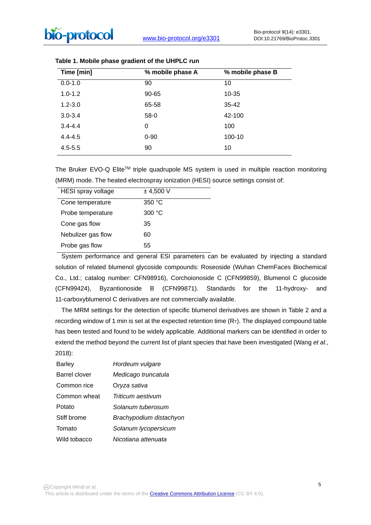| Time [min]  | % mobile phase A | % mobile phase B |
|-------------|------------------|------------------|
| $0.0 - 1.0$ | 90               | 10               |
| $1.0 - 1.2$ | 90-65            | 10-35            |
| $1.2 - 3.0$ | 65-58            | 35-42            |
| $3.0 - 3.4$ | $58-0$           | 42-100           |
| $3.4 - 4.4$ | 0                | 100              |
| $4.4 - 4.5$ | $0 - 90$         | 100-10           |
| $4.5 - 5.5$ | 90               | 10               |
|             |                  |                  |

|  |  |  |  | Table 1. Mobile phase gradient of the UHPLC run |  |  |  |  |  |
|--|--|--|--|-------------------------------------------------|--|--|--|--|--|
|--|--|--|--|-------------------------------------------------|--|--|--|--|--|

The Bruker EVO-Q Elite™ triple quadrupole MS system is used in multiple reaction monitoring (MRM) mode. The heated electrospray ionization (HESI) source settings consist of:

| HESI spray voltage | ± 4,500 V       |
|--------------------|-----------------|
| Cone temperature   | 350 °C          |
| Probe temperature  | 300 $\degree$ C |
| Cone gas flow      | 35              |
| Nebulizer gas flow | 60              |
| Probe gas flow     | 55              |

 System performance and general ESI parameters can be evaluated by injecting a standard solution of related blumenol glycoside compounds: Roseoside (Wuhan ChemFaces Biochemical Co., Ltd.; catalog number: CFN98916), Corchoionoside C (CFN99859), Blumenol C glucoside (CFN99424), Byzantionoside B (CFN99871). Standards for the 11-hydroxy- and 11-carboxyblumenol C derivatives are not commercially available.

 The MRM settings for the detection of specific blumenol derivatives are shown in Table 2 and a recording window of 1 min is set at the expected retention time  $(R<sub>T</sub>)$ . The displayed compound table has been tested and found to be widely applicable. Additional markers can be identified in order to extend the method beyond the current list of plant species that have been investigated (Wang *et al.*, 2018):

| <b>Barley</b> | Hordeum vulgare         |
|---------------|-------------------------|
| Barrel clover | Medicago truncatula     |
| Common rice   | Oryza sativa            |
| Common wheat  | Triticum aestivum       |
| Potato        | Solanum tuberosum       |
| Stiff brome   | Brachypodium distachyon |
| Tomato        | Solanum lycopersicum    |
| Wild tobacco  | Nicotiana attenuata     |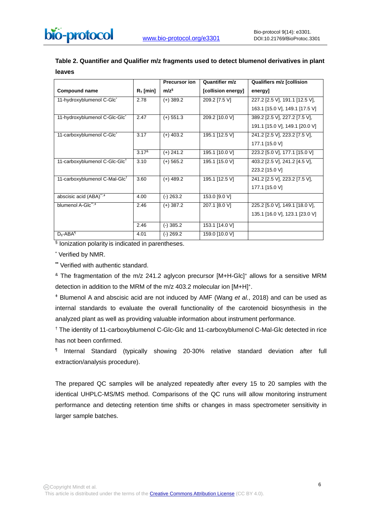|               | Table 2. Quantifier and Qualifier m/z fragments used to detect blumenol derivatives in plant |  |  |
|---------------|----------------------------------------------------------------------------------------------|--|--|
| <b>leaves</b> |                                                                                              |  |  |

|                                           |             | <b>Precursor ion</b> | Quantifier m/z     | <b>Qualifiers m/z [collision</b> |
|-------------------------------------------|-------------|----------------------|--------------------|----------------------------------|
| <b>Compound name</b>                      | $R_T$ [min] | $m/z^{\S}$           | [collision energy] | energy]                          |
| 11-hydroxyblumenol C-Glc*                 | 2.78        | $(+)$ 389.2          | 209.2 [7.5 V]      | 227.2 [2.5 V], 191.1 [12.5 V],   |
|                                           |             |                      |                    | 163.1 [15.0 V], 149.1 [17.5 V]   |
| 11-hydroxyblumenol C-Glc-Glc <sup>*</sup> | 2.47        | $(+)$ 551.3          | 209.2 [10.0 V]     | 389.2 [2.5 V], 227.2 [7.5 V],    |
|                                           |             |                      |                    | 191.1 [15.0 V], 149.1 [20.0 V]   |
| 11-carboxyblumenol C-Glc <sup>*</sup>     | 3.17        | $(+)$ 403.2          | 195.1 [12.5 V]     | 241.2 [2.5 V], 223.2 [7.5 V],    |
|                                           |             |                      |                    | 177.1 [15.0 V]                   |
|                                           | $3.17^8$    | $(+)$ 241.2          | 195.1 [10.0 V]     | 223.2 [5.0 V], 177.1 [15.0 V]    |
| 11-carboxyblumenol C-Glc-Glc <sup>t</sup> | 3.10        | $(+)$ 565.2          | 195.1 [15.0 V]     | 403.2 [2.5 V], 241.2 [4.5 V],    |
|                                           |             |                      |                    | 223.2 [15.0 V]                   |
| 11-carboxyblumenol C-Mal-Glc <sup>†</sup> | 3.60        | $(+)$ 489.2          | 195.1 [12.5 V]     | 241.2 [2.5 V], 223.2 [7.5 V],    |
|                                           |             |                      |                    | 177.1 [15.0 V]                   |
| abscisic acid (ABA) <sup>**,#</sup>       | 4.00        | $(-) 263.2$          | 153.0 [9.0 V]      |                                  |
| blumenol A-Glc", <sup>#</sup>             | 2.46        | $(+)$ 387.2          | 207.1 [8.0 V]      | 225.2 [5.0 V], 149.1 [18.0 V],   |
|                                           |             |                      |                    | 135.1 [16.0 V], 123.1 [23.0 V]   |
|                                           | 2.46        | $(-)$ 385.2          | 153.1 [14.0 V]     |                                  |
| $D_6 - ABA$ <sup>1</sup>                  | 4.01        | $(-)$ 269.2          | 159.0 [10.0 V]     |                                  |

§ Ionization polarity is indicated in parentheses.

\* Verified by NMR.

**\*\*** Verified with authentic standard.

& The fragmentation of the m/z 241.2 aglycon precursor [M+H-Glc]+ allows for a sensitive MRM detection in addition to the MRM of the m/z 403.2 molecular ion [M+H]+.

<sup>ǂ</sup> Blumenol A and abscisic acid are not induced by AMF (Wang *et al.*, 2018) and can be used as internal standards to evaluate the overall functionality of the carotenoid biosynthesis in the analyzed plant as well as providing valuable information about instrument performance.

† The identity of 11-carboxyblumenol C-Glc-Glc and 11-carboxyblumenol C-Mal-Glc detected in rice has not been confirmed.

¶ Internal Standard (typically showing 20-30% relative standard deviation after full extraction/analysis procedure).

The prepared QC samples will be analyzed repeatedly after every 15 to 20 samples with the identical UHPLC-MS/MS method. Comparisons of the QC runs will allow monitoring instrument performance and detecting retention time shifts or changes in mass spectrometer sensitivity in larger sample batches.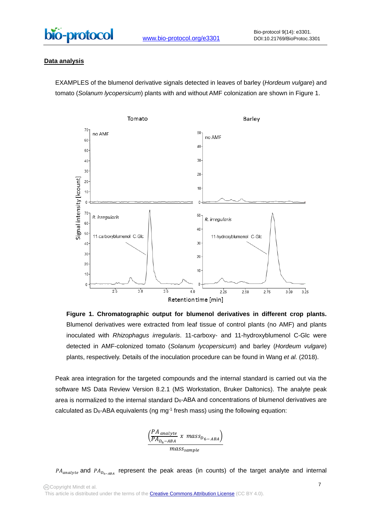

# **Data analysis**

EXAMPLES of the blumenol derivative signals detected in leaves of barley (*Hordeum vulgare*) and tomato (*Solanum lycopersicum*) plants with and without AMF colonization are shown in Figure 1.



**Figure 1. Chromatographic output for blumenol derivatives in different crop plants.** Blumenol derivatives were extracted from leaf tissue of control plants (no AMF) and plants inoculated with *Rhizophagus irregularis*. 11-carboxy- and 11-hydroxyblumenol C-Glc were detected in AMF-colonized tomato (*Solanum lycopersicum*) and barley (*Hordeum vulgare*) plants, respectively. Details of the inoculation procedure can be found in Wang *et al.* (2018).

Peak area integration for the targeted compounds and the internal standard is carried out via the software MS Data Review Version 8.2.1 (MS Workstation, Bruker Daltonics). The analyte peak area is normalized to the internal standard  $D_6$ -ABA and concentrations of blumenol derivatives are calculated as  $D_6$ -ABA equivalents (ng mg<sup>-1</sup> fresh mass) using the following equation:



 $PA_{analyte}$  and  $PA_{D_{6-ABA}}$  represent the peak areas (in counts) of the target analyte and internal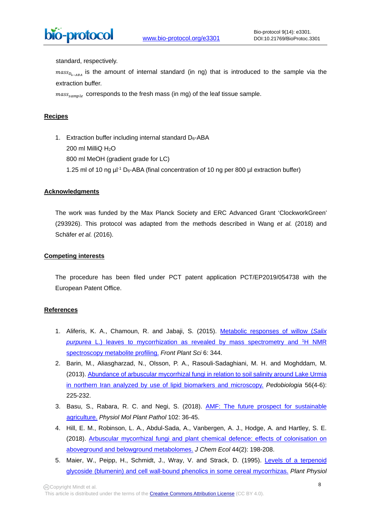standard, respectively.

 $\overline{a}$ 

 $mass_{D_{6-4P_4}}$  is the amount of internal standard (in ng) that is introduced to the sample via the extraction buffer.

 $mass_{sample}$  corresponds to the fresh mass (in mg) of the leaf tissue sample.

# **Recipes**

1. Extraction buffer including internal standard  $D_6$ -ABA 200 ml MilliQ H2O 800 ml MeOH (gradient grade for LC) 1.25 ml of 10 ng  $\mu$ <sup>-1</sup> D<sub>6</sub>-ABA (final concentration of 10 ng per 800  $\mu$  extraction buffer)

## **Acknowledgments**

The work was funded by the Max Planck Society and ERC Advanced Grant 'ClockworkGreen' (293926). This protocol was adapted from the methods described in Wang *et al.* (2018) and Schäfer *et al.* (2016).

## **Competing interests**

The procedure has been filed under PCT patent application PCT/EP2019/054738 with the European Patent Office.

## **References**

- 1. Aliferis, K. A., Chamoun, R. and Jabaji, S. (2015). [Metabolic responses of willow \(](http://www.ncbi.nlm.nih.gov/pubmed/26042135)*Salix purpurea* [L.\) leaves to mycorrhization as revealed by mass spectrometry and 1H NMR](http://www.ncbi.nlm.nih.gov/pubmed/26042135)  [spectroscopy metabolite profiling.](http://www.ncbi.nlm.nih.gov/pubmed/26042135) *Front Plant Sci* 6: 344.
- 2. Barin, M., Aliasgharzad, N., Olsson, P. A., Rasouli-Sadaghiani, M. H. and Moghddam, M. (2013). [Abundance of arbuscular mycorrhizal fungi in relation to soil salinity around Lake Urmia](https://eurekamag.com/research/064/276/064276286.php)  [in northern Iran analyzed by use of lipid biomarkers and microscopy.](https://eurekamag.com/research/064/276/064276286.php) *Pedobiologia* 56(4-6): 225-232.
- 3. Basu, S., Rabara, R. C. and Negi, S. (2018). [AMF: The future prospect for sustainable](https://www.sciencedirect.com/science/article/pii/S0885576517302485)  [agriculture.](https://www.sciencedirect.com/science/article/pii/S0885576517302485) *Physiol Mol Plant Pathol* 102: 36-45.
- 4. Hill, E. M., Robinson, L. A., Abdul-Sada, A., Vanbergen, A. J., Hodge, A. and Hartley, S. E. (2018). [Arbuscular mycorrhizal fungi and plant chemical defence: effects of colonisation on](http://www.ncbi.nlm.nih.gov/pubmed/29392532)  [aboveground and belowground metabolomes.](http://www.ncbi.nlm.nih.gov/pubmed/29392532) *J Chem Ecol* 44(2): 198-208.
- 5. Maier, W., Peipp, H., Schmidt, J., Wray, V. and Strack, D. (1995). [Levels of a terpenoid](http://www.ncbi.nlm.nih.gov/pubmed/7480342)  [glycoside \(blumenin\) and cell wall-bound phenolics in some cereal mycorrhizas.](http://www.ncbi.nlm.nih.gov/pubmed/7480342) *Plant Physiol*

Copyright Mindt et al.

This article is distributed under the terms of the **Creative Commons Attribution License** (CC BY 4.0).